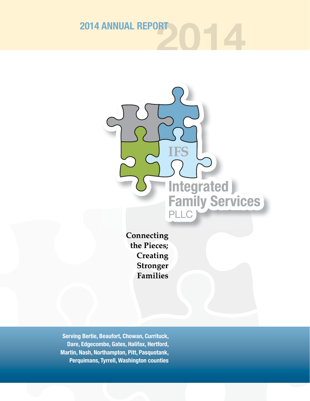**2014 2014 ANNUAL REPORT**



the Pieces; Creating **Stronger Families** 

**Serving Bertie, Beaufort, Chowan, Currituck, Dare, Edgecombe, Gates, Halifax, Hertford, Martin, Nash, Northampton, Pitt, Pasquotank, Perquimans, Tyrrell, Washington counties**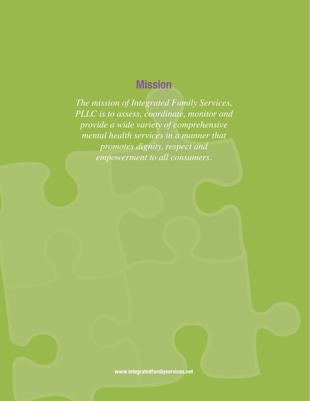# **Mission**

*The mission of Integrated Family Services, PLLC is to assess, coordinate, monitor and provide a wide variety of comprehensive mental health services in a manner that promotes dignity, respect and empowerment to all consumers.*

**www.integratedfamilyservices.net**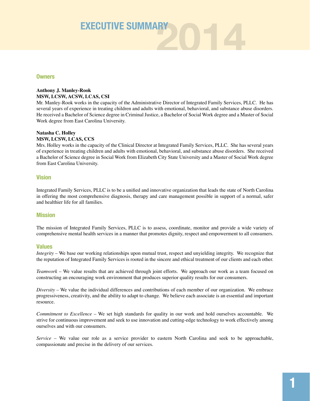

#### **Owners**

#### **Anthony J. Manley-Rook MSW, LCSW, ACSW, LCAS, CSI**

Mr. Manley-Rook works in the capacity of the Administrative Director of Integrated Family Services, PLLC. He has several years of experience in treating children and adults with emotional, behavioral, and substance abuse disorders. He received a Bachelor of Science degree in Criminal Justice, a Bachelor of Social Work degree and a Master of Social Work degree from East Carolina University.

#### **Natasha C. Holley MSW, LCSW, LCAS, CCS**

Mrs. Holley works in the capacity of the Clinical Director at Integrated Family Services, PLLC. She has several years of experience in treating children and adults with emotional, behavioral, and substance abuse disorders. She received a Bachelor of Science degree in Social Work from Elizabeth City State University and a Master of Social Work degree from East Carolina University.

#### **Vision**

Integrated Family Services, PLLC is to be a unified and innovative organization that leads the state of North Carolina in offering the most comprehensive diagnosis, therapy and care management possible in support of a normal, safer and healthier life for all families.

#### **Mission**

The mission of Integrated Family Services, PLLC is to assess, coordinate, monitor and provide a wide variety of comprehensive mental health services in a manner that promotes dignity, respect and empowerment to all consumers.

#### **Values**

*Integrity* – We base our working relationships upon mutual trust, respect and unyielding integrity. We recognize that the reputation of Integrated Family Services is rooted in the sincere and ethical treatment of our clients and each other.

*Teamwork* – We value results that are achieved through joint efforts. We approach our work as a team focused on constructing an encouraging work environment that produces superior quality results for our consumers.

*Diversity* – We value the individual differences and contributions of each member of our organization. We embrace progressiveness, creativity, and the ability to adapt to change. We believe each associate is an essential and important resource.

*Commitment to Excellence* – We set high standards for quality in our work and hold ourselves accountable. We strive for continuous improvement and seek to use innovation and cutting-edge technology to work effectively among ourselves and with our consumers.

*Service* – We value our role as a service provider to eastern North Carolina and seek to be approachable, compassionate and precise in the delivery of our services.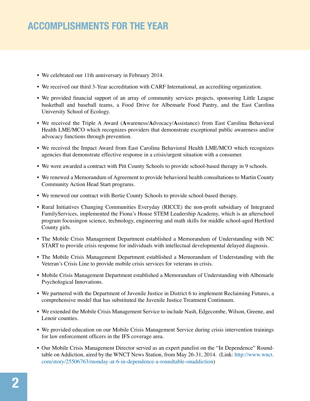### **ACCOMPLISHMENTS FOR THE YEAR**

- We celebrated our 11th anniversary in February 2014.
- We received our third 3-Year accreditation with CARF International, an accrediting organization.
- We provided financial support of an array of community services projects, sponsoring Little League basketball and baseball teams, a Food Drive for Albemarle Food Pantry, and the East Carolina University School of Ecology.
- We received the Triple A Award (**A**wareness/**A**dvocacy/**A**ssistance) from East Carolina Behavioral Health LME/MCO which recognizes providers that demonstrate exceptional public awareness and/or advocacy functions through prevention.
- We received the Impact Award from East Carolina Behavioral Health LME/MCO which recognizes agencies that demonstrate effective response in a crisis/urgent situation with a consumer.
- We were awarded a contract with Pitt County Schools to provide school-based therapy in 9 schools.
- We renewed a Memorandum of Agreement to provide behavioral health consultations to Martin County Community Action Head Start programs.
- We renewed our contract with Bertie County Schools to provide school-based therapy.
- Rural Initiatives Changing Communities Everyday (RICCE) the non-profit subsidiary of Integrated FamilyServices, implemented the Fiona's House STEM Leadership Academy, which is an afterschool program focusingon science, technology, engineering and math skills for middle school-aged Hertford County girls.
- The Mobile Crisis Management Department established a Memorandum of Understanding with NC START to provide crisis response for individuals with intellectual developmental delayed diagnosis.
- The Mobile Crisis Management Department established a Memorandum of Understanding with the Veteran's Crisis Line to provide mobile crisis services for veterans in crisis.
- Mobile Crisis Management Department established a Memorandum of Understanding with Albemarle Psychological Innovations.
- We partnered with the Department of Juvenile Justice in District 6 to implement Reclaiming Futures, a comprehensive model that has substituted the Juvenile Justice Treatment Continuum.
- We extended the Mobile Crisis Management Service to include Nash, Edgecombe, Wilson, Greene, and Lenoir counties.
- We provided education on our Mobile Crisis Management Service during crisis intervention trainings for law enforcement officers in the IFS coverage area.
- Our Mobile Crisis Management Director served as an expert panelist on the "In Dependence" Roundtable on Addiction, aired by the WNCT News Station, from May 26-31, 2014. (Link: http://www.wnct. com/story/25506763/monday-at-6-in-dependence-a-roundtable-onaddiction)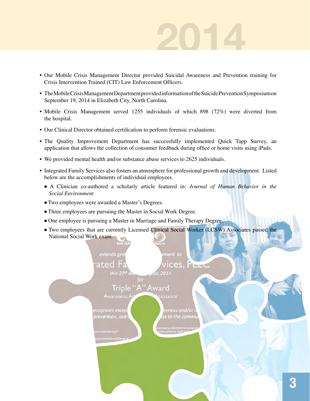# **2014**

- Our Mobile Crisis Management Director provided Suicidal Awareness and Prevention training for Crisis Intervention Trained (CIT) Law Enforcement Officers.
- The Mobile Crisis Management Department provided information of the Suicide Prevention Symposium on September 19, 2014 in Elizabeth City, North Carolina.
- Mobile Crisis Management served 1255 individuals of which 898 (72%) were diverted from the hospital.
- Our Clinical Director obtained certification to perform forensic evaluations.
- The Quality Improvement Department has successfully implemented Quick Tapp Survey, an application that allows the collection of consumer feedback during office or home visits using iPads.
- We provided mental health and/or substance abuse services to 2625 individuals.
- Integrated Family Services also fosters an atmosphere for professional growth and development. Listed below are the accomplishments of individual employees.
	- A Clinician co-authored a scholarly article featured in: *Journal of Human Behavior in the Social Environment*
	- Two employees were awarded a Master's Degrees.
	- Three employees are pursuing the Master in Social Work Degree.
	- One employee is pursuing a Master in Marriage and Family Therapy Degree.
	- Two employees that are currently Licensed Clinical Social Worker (LCSW) Associates passed the National Social Work exam.

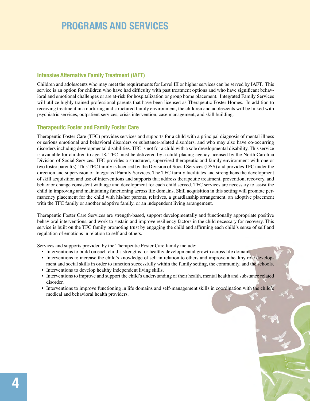### **PROGRAMS AND SERVICES**

#### **Intensive Alternative Family Treatment (IAFT)**

Children and adolescents who may meet the requirements for Level III or higher services can be served by IAFT. This service is an option for children who have had difficulty with past treatment options and who have significant behavioral and emotional challenges or are at-risk for hospitalization or group home placement. Integrated Family Services will utilize highly trained professional parents that have been licensed as Therapeutic Foster Homes. In addition to receiving treatment in a nurturing and structured family environment, the children and adolescents will be linked with psychiatric services, outpatient services, crisis intervention, case management, and skill building.

#### **Therapeutic Foster and Family Foster Care**

Therapeutic Foster Care (TFC) provides services and supports for a child with a principal diagnosis of mental illness or serious emotional and behavioral disorders or substance-related disorders, and who may also have co-occurring disorders including developmental disabilities. TFC is not for a child with a sole developmental disability. This service is available for children to age 18. TFC must be delivered by a child-placing agency licensed by the North Carolina Division of Social Services. TFC provides a structured, supervised therapeutic and family environment with one or two foster parent(s). This TFC family is licensed by the Division of Social Services (DSS) and provides TFC under the direction and supervision of Integrated Family Services. The TFC family facilitates and strengthens the development of skill acquisition and use of interventions and supports that address therapeutic treatment, prevention, recovery, and behavior change consistent with age and development for each child served. TFC services are necessary to assist the child in improving and maintaining functioning across life domains. Skill acquisition in this setting will promote permanency placement for the child with his/her parents, relatives, a guardianship arrangement, an adoptive placement with the TFC family or another adoptive family, or an independent living arrangement.

Therapeutic Foster Care Services are strength-based, support developmentally and functionally appropriate positive behavioral interventions, and work to sustain and improve resiliency factors in the child necessary for recovery. This service is built on the TFC family promoting trust by engaging the child and affirming each child's sense of self and regulation of emotions in relation to self and others.

Services and supports provided by the Therapeutic Foster Care family include:

- Interventions to build on each child's strengths for healthy developmental growth across life domains.
- Interventions to increase the child's knowledge of self in relation to others and improve a healthy role development and social skills in order to function successfully within the family setting, the community, and the schools.
- Interventions to develop healthy independent living skills.
- Interventions to improve and support the child's understanding of their health, mental health and substance related disorder.
- Interventions to improve functioning in life domains and self-management skills in coordination with the child's medical and behavioral health providers.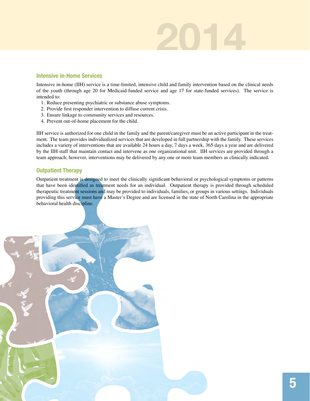# **2014**

#### **Intensive in-Home Services**

Intensive in-home (IIH) service is a time-limited, intensive child and family intervention based on the clinical needs of the youth (through age 20 for Medicaid-funded service and age 17 for state-funded services). The service is intended to:

- 1. Reduce presenting psychiatric or substance abuse symptoms.
- 2. Provide first responder intervention to diffuse current crisis.
- 3. Ensure linkage to community services and resources.
- 4. Prevent out-of-home placement for the child.

IIH service is authorized for one child in the family and the parent/caregiver must be an active participant in the treatment. The team provides individualized services that are developed in full partnership with the family. These services includes a variety of interventions that are available 24 hours a day, 7 days a week, 365 days a year and are delivered by the IIH staff that maintain contact and intervene as one organizational unit. IIH services are provided through a team approach; however, interventions may be delivered by any one or more team members as clinically indicated.

#### **Outpatient Therapy**

Outpatient treatment is designed to meet the clinically significant behavioral or psychological symptoms or patterns that have been identified as treatment needs for an individual. Outpatient therapy is provided through scheduled therapeutic treatment sessions and may be provided to individuals, families, or groups in various settings. Individuals providing this service must have a Master's Degree and are licensed in the state of North Carolina in the appropriate behavioral health discipline.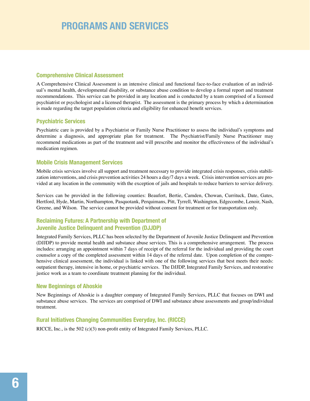### **PROGRAMS AND SERVICES**

#### **Comprehensive Clinical Assessment**

A Comprehensive Clinical Assessment is an intensive clinical and functional face-to-face evaluation of an individual's mental health, developmental disability, or substance abuse condition to develop a formal report and treatment recommendations. This service can be provided in any location and is conducted by a team comprised of a licensed psychiatrist or psychologist and a licensed therapist. The assessment is the primary process by which a determination is made regarding the target population criteria and eligibility for enhanced benefit services.

#### **Psychiatric Services**

Psychiatric care is provided by a Psychiatrist or Family Nurse Practitioner to assess the individual's symptoms and determine a diagnosis, and appropriate plan for treatment. The Psychiatrist/Family Nurse Practitioner may recommend medications as part of the treatment and will prescribe and monitor the effectiveness of the individual's medication regimen.

#### **Mobile Crisis Management Services**

Mobile crisis services involve all support and treatment necessary to provide integrated crisis responses, crisis stabilization interventions, and crisis prevention activities 24 hours a day/7 days a week. Crisis intervention services are provided at any location in the community with the exception of jails and hospitals to reduce barriers to service delivery.

Services can be provided in the following counties: Beaufort, Bertie, Camden, Chowan, Currituck, Date, Gates, Hertford, Hyde, Martin, Northampton, Pasquotank, Perquimans, Pitt, Tyrrell, Washington, Edgecombe, Lenoir, Nash, Greene, and Wilson. The service cannot be provided without consent for treatment or for transportation only.

#### **Reclaiming Futures: A Partnership with Department of Juvenile Justice Delinquent and Prevention (DJJDP)**

Integrated Family Services, PLLC has been selected by the Department of Juvenile Justice Delinquent and Prevention (DJJDP) to provide mental health and substance abuse services. This is a comprehensive arrangement. The process includes: arranging an appointment within 7 days of receipt of the referral for the individual and providing the court counselor a copy of the completed assessment within 14 days of the referral date. Upon completion of the comprehensive clinical assessment, the individual is linked with one of the following services that best meets their needs: outpatient therapy, intensive in home, or psychiatric services. The DJJDP, Integrated Family Services, and restorative justice work as a team to coordinate treatment planning for the individual.

#### **New Beginnings of Ahoskie**

New Beginnings of Ahoskie is a daughter company of Integrated Family Services, PLLC that focuses on DWI and substance abuse services. The services are comprised of DWI and substance abuse assessments and group/individual treatment.

#### **Rural Initiatives Changing Communities Everyday, Inc. (RICCE)**

RICCE, Inc., is the 502 (c)(3) non-profit entity of Integrated Family Services, PLLC.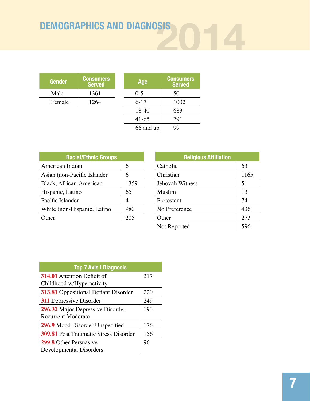# **2014 DEMOGRAPHICS AND DIAGNOSIS**

| <b>Gender</b> | <b>Consumers</b><br><b>Served</b> | Age       | <b>Consumers</b><br><b>Served</b> |  |
|---------------|-----------------------------------|-----------|-----------------------------------|--|
| Male          | 1361                              | $0 - 5$   | 50                                |  |
| Female        | 1264                              | $6-17$    | 1002                              |  |
|               |                                   | 18-40     | 683                               |  |
|               |                                   | $41-65$   | 791                               |  |
|               |                                   | 66 and up | 99                                |  |

| <b>Racial/Ethnic Groups</b> |      |  |  |
|-----------------------------|------|--|--|
| American Indian             | 6    |  |  |
| Asian (non-Pacific Islander | 6    |  |  |
| Black, African-American     | 1359 |  |  |
| Hispanic, Latino            | 65   |  |  |
| Pacific Islander            | 4    |  |  |
| White (non-Hispanic, Latino | 980  |  |  |
| Other                       | 205  |  |  |

| <b>Religious Affiliation</b> |      |  |  |
|------------------------------|------|--|--|
| Catholic                     | 63   |  |  |
| Christian                    | 1165 |  |  |
| <b>Jehovah Witness</b>       | 5    |  |  |
| Muslim                       | 13   |  |  |
| Protestant                   | 74   |  |  |
| No Preference                | 436  |  |  |
| Other                        | 273  |  |  |
| Not Reported                 |      |  |  |

| <b>Top 7 Axis I Diagnosis</b>                |     |
|----------------------------------------------|-----|
| <b>314.01</b> Attention Deficit of           | 317 |
| Childhood w/Hyperactivity                    |     |
| 313.81 Oppositional Defiant Disorder         | 220 |
| <b>311</b> Depressive Disorder               | 249 |
| 296.32 Major Depressive Disorder,            | 190 |
| <b>Recurrent Moderate</b>                    |     |
| 296.9 Mood Disorder Unspecified              | 176 |
| <b>309.81</b> Post Traumatic Stress Disorder | 156 |
| <b>299.8</b> Other Persuasive                | 96  |
| Developmental Disorders                      |     |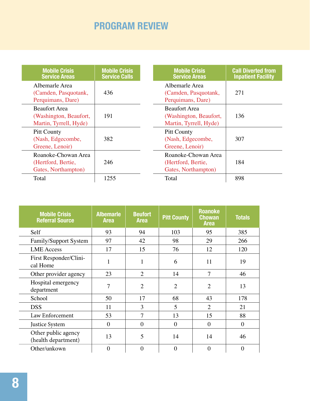## **PROGRAM REVIEW**

| <b>Mobile Crisis</b><br><b>Service Areas</b>                             | <b>Mobile Crisis</b><br><b>Service Calls</b> | <b>Mobile Crisis</b><br><b>Service Areas</b>                             | <b>Call Diverted from</b><br><b>Inpatient Facility</b> |
|--------------------------------------------------------------------------|----------------------------------------------|--------------------------------------------------------------------------|--------------------------------------------------------|
| Albemarle Area<br>(Camden, Pasquotank,<br>Perquimans, Dare)              | 436                                          | Albemarle Area<br>(Camden, Pasquotank,<br>Perquimans, Dare)              | 271                                                    |
| <b>Beaufort Area</b><br>(Washington, Beaufort,<br>Martin, Tyrrell, Hyde) | 191                                          | <b>Beaufort Area</b><br>(Washington, Beaufort,<br>Martin, Tyrrell, Hyde) | 136                                                    |
| <b>Pitt County</b><br>(Nash, Edgecombe,<br>Greene, Lenoir)               | 382                                          | <b>Pitt County</b><br>(Nash, Edgecombe,<br>Greene, Lenoir)               | 307                                                    |
| Roanoke-Chowan Area<br>(Hertford, Bertie,<br>Gates, Northampton)         | 246                                          | Roanoke-Chowan Area<br>(Hertford, Bertie,<br>Gates, Northampton)         | 184                                                    |
| Total                                                                    | 1255                                         | Total                                                                    | 898                                                    |

| <b>Mobile Crisis</b><br><b>Referral Source</b> | <b>Albemarle</b><br><b>Area</b> | <b>Beufort</b><br><b>Area</b> | <b>Pitt County</b> | <b>Roanoke</b><br><b>Chowan</b><br><b>Area</b> | <b>Totals</b> |
|------------------------------------------------|---------------------------------|-------------------------------|--------------------|------------------------------------------------|---------------|
| Self                                           | 93                              | 94                            | 103                | 95                                             | 385           |
| Family/Support System                          | 97                              | 42                            | 98                 | 29                                             | 266           |
| <b>LME</b> Access                              | 17                              | 15                            | 76                 | 12                                             | 120           |
| First Responder/Clini-<br>cal Home             | 1                               | 1                             | 6                  | 11                                             | 19            |
| Other provider agency                          | 23                              | $\overline{2}$                | 14                 | $\overline{7}$                                 | 46            |
| Hospital emergency<br>department               | 7                               | $\overline{2}$                | $\overline{2}$     | $\overline{2}$                                 | 13            |
| School                                         | 50                              | 17                            | 68                 | 43                                             | 178           |
| <b>DSS</b>                                     | 11                              | 3                             | 5                  | $\overline{2}$                                 | 21            |
| Law Enforcement                                | 53                              | $\overline{7}$                | 13                 | 15                                             | 88            |
| Justice System                                 | $\overline{0}$                  | $\theta$                      | $\overline{0}$     | $\theta$                                       | $\theta$      |
| Other public agency<br>(health department)     | 13                              | 5                             | 14                 | 14                                             | 46            |
| Other/unkown                                   | $\theta$                        | 0                             | $\overline{0}$     | $\theta$                                       | $\theta$      |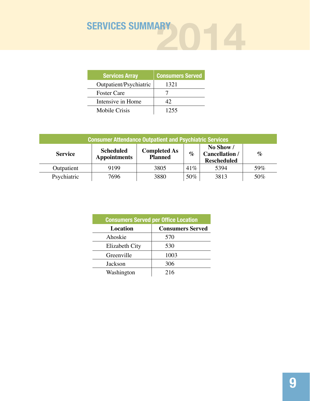

| <b>Services Array</b>  | <b>Consumers Served</b> |
|------------------------|-------------------------|
| Outpatient/Psychiatric | 1321                    |
| <b>Foster Care</b>     |                         |
| Intensive in Home      | 42                      |
| Mobile Crisis          | 1255                    |

| <b>Consumer Attendance Outpatient and Psychiatric Services</b> |                                         |                                       |        |                                                          |      |
|----------------------------------------------------------------|-----------------------------------------|---------------------------------------|--------|----------------------------------------------------------|------|
| <b>Service</b>                                                 | <b>Scheduled</b><br><b>Appointments</b> | <b>Completed As</b><br><b>Planned</b> | $\%$   | No Show /<br><b>Cancellation /</b><br><b>Rescheduled</b> | $\%$ |
| Outpatient                                                     | 9199                                    | 3805                                  | $41\%$ | 5394                                                     | 59%  |
| Psychiatric                                                    | 7696                                    | 3880                                  | 50%    | 3813                                                     | 50%  |

| <b>Consumers Served per Office Location</b> |                         |  |  |
|---------------------------------------------|-------------------------|--|--|
| <b>Location</b>                             | <b>Consumers Served</b> |  |  |
| Ahoskie                                     | 570                     |  |  |
| Elizabeth City                              | 530                     |  |  |
| Greenville                                  | 1003                    |  |  |
| Jackson                                     | 306                     |  |  |
| Washington                                  | 216                     |  |  |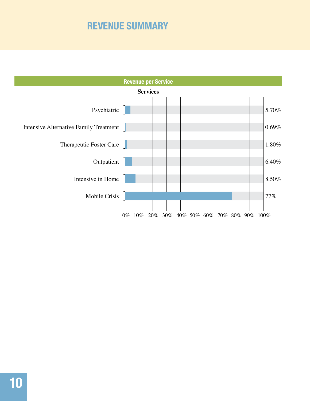### **REVENUE SUMMARY**

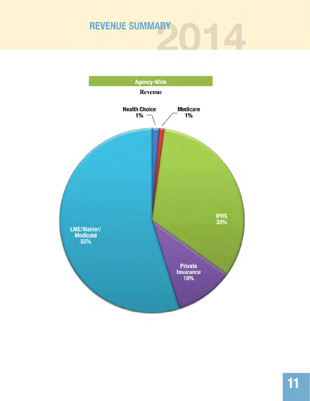# **REVENUE SUMMARY**

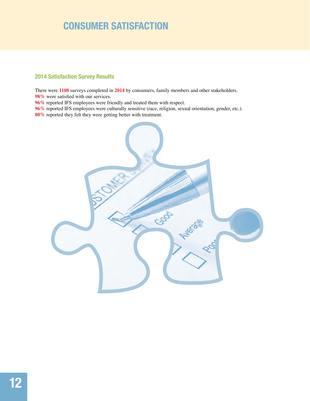### **CONSUMER SATISFACTION**

#### **2014 Satisfaction Survey Results**

There were **1108** surveys completed in **2014** by consumers, family members and other stakeholders. 98% were satisfied with our services.

**96%** reported IFS employees were friendly and treated them with respect.

**96%** reported IFS employees were culturally sensitive (race, religion, sexual orientation, gender, etc.). **80%** reported they felt they were getting better with treatment.

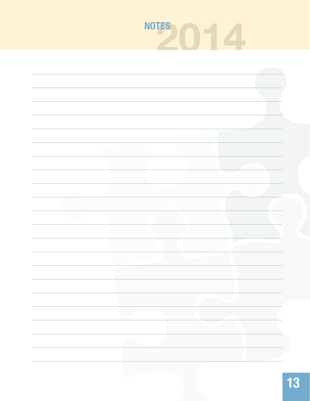# **2014 NOTES**

|  | h. |
|--|----|
|  |    |
|  |    |
|  |    |
|  |    |
|  |    |
|  |    |
|  |    |
|  |    |
|  |    |
|  |    |
|  |    |
|  |    |
|  |    |